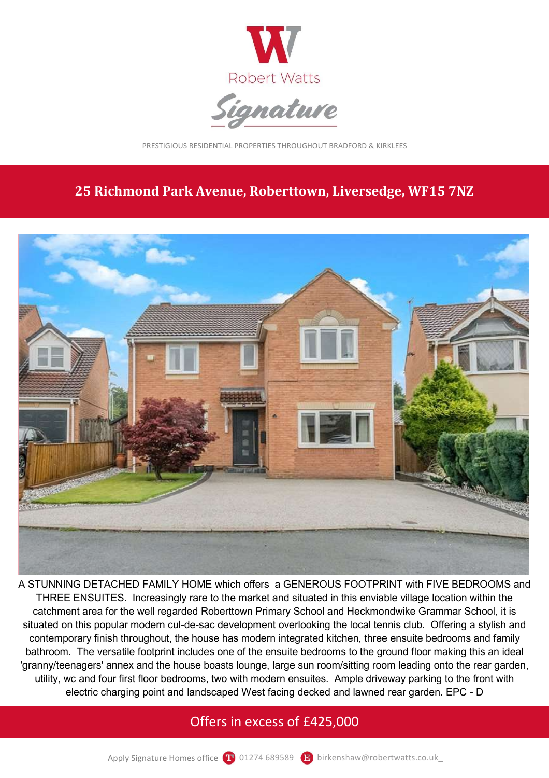

PRESTIGIOUS RESIDENTIAL PROPERTIES THROUGHOUT BRADFORD & KIRKLEES

# **25 Richmond Park Avenue, Roberttown, Liversedge, WF15 7NZ**



A STUNNING DETACHED FAMILY HOME which offers a GENEROUS FOOTPRINT with FIVE BEDROOMS and THREE ENSUITES. Increasingly rare to the market and situated in this enviable village location within the catchment area for the well regarded Roberttown Primary School and Heckmondwike Grammar School, it is situated on this popular modern cul-de-sac development overlooking the local tennis club. Offering a stylish and contemporary finish throughout, the house has modern integrated kitchen, three ensuite bedrooms and family bathroom. The versatile footprint includes one of the ensuite bedrooms to the ground floor making this an ideal 'granny/teenagers' annex and the house boasts lounge, large sun room/sitting room leading onto the rear garden, utility, wc and four first floor bedrooms, two with modern ensuites. Ample driveway parking to the front with electric charging point and landscaped West facing decked and lawned rear garden. EPC - D

# Offers in excess of £425,000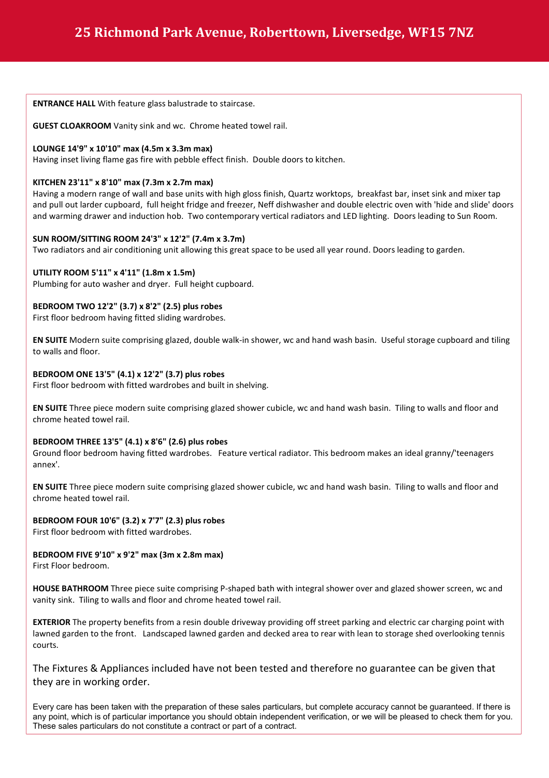# **25 Richmond Park Avenue, Roberttown, Liversedge, WF15 7NZ**

**ENTRANCE HALL** With feature glass balustrade to staircase.

**GUEST CLOAKROOM** Vanity sink and wc. Chrome heated towel rail.

#### **LOUNGE 14'9" x 10'10" max (4.5m x 3.3m max)**

Having inset living flame gas fire with pebble effect finish. Double doors to kitchen.

#### **KITCHEN 23'11" x 8'10" max (7.3m x 2.7m max)**

Having a modern range of wall and base units with high gloss finish, Quartz worktops, breakfast bar, inset sink and mixer tap and pull out larder cupboard, full height fridge and freezer, Neff dishwasher and double electric oven with 'hide and slide' doors and warming drawer and induction hob. Two contemporary vertical radiators and LED lighting. Doors leading to Sun Room.

# **SUN ROOM/SITTING ROOM 24'3" x 12'2" (7.4m x 3.7m)**

Two radiators and air conditioning unit allowing this great space to be used all year round. Doors leading to garden.

## **UTILITY ROOM 5'11" x 4'11" (1.8m x 1.5m)**

Plumbing for auto washer and dryer. Full height cupboard.

## **BEDROOM TWO 12'2" (3.7) x 8'2" (2.5) plus robes**

First floor bedroom having fitted sliding wardrobes.

**EN SUITE** Modern suite comprising glazed, double walk-in shower, wc and hand wash basin. Useful storage cupboard and tiling to walls and floor.

## **BEDROOM ONE 13'5" (4.1) x 12'2" (3.7) plus robes**

First floor bedroom with fitted wardrobes and built in shelving.

**EN SUITE** Three piece modern suite comprising glazed shower cubicle, wc and hand wash basin. Tiling to walls and floor and chrome heated towel rail.

## **BEDROOM THREE 13'5" (4.1) x 8'6" (2.6) plus robes**

Ground floor bedroom having fitted wardrobes. Feature vertical radiator. This bedroom makes an ideal granny/'teenagers annex'.

**EN SUITE** Three piece modern suite comprising glazed shower cubicle, wc and hand wash basin. Tiling to walls and floor and chrome heated towel rail.

## **BEDROOM FOUR 10'6" (3.2) x 7'7" (2.3) plus robes**

First floor bedroom with fitted wardrobes.

# **BEDROOM FIVE 9'10" x 9'2" max (3m x 2.8m max)**

First Floor bedroom.

**HOUSE BATHROOM** Three piece suite comprising P-shaped bath with integral shower over and glazed shower screen, wc and vanity sink. Tiling to walls and floor and chrome heated towel rail.

**EXTERIOR** The property benefits from a resin double driveway providing off street parking and electric car charging point with lawned garden to the front. Landscaped lawned garden and decked area to rear with lean to storage shed overlooking tennis courts.

The Fixtures & Appliances included have not been tested and therefore no guarantee can be given that they are in working order.

Every care has been taken with the preparation of these sales particulars, but complete accuracy cannot be guaranteed. If there is any point, which is of particular importance you should obtain independent verification, or we will be pleased to check them for you. These sales particulars do not constitute a contract or part of a contract.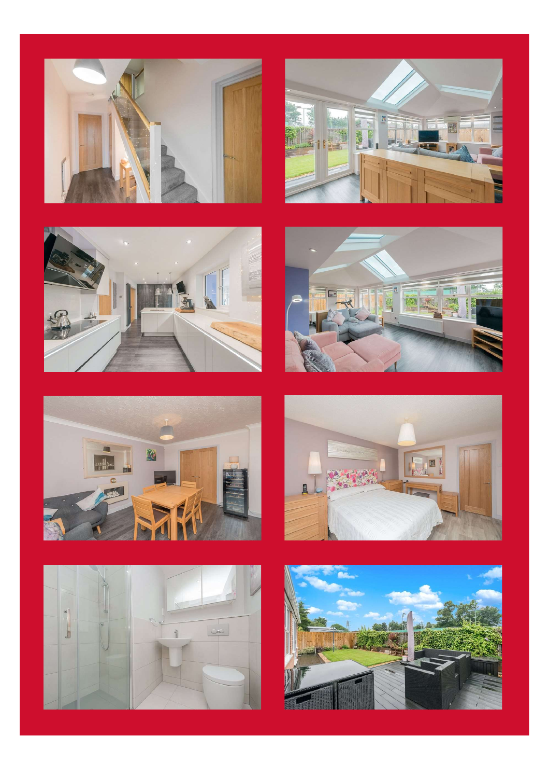